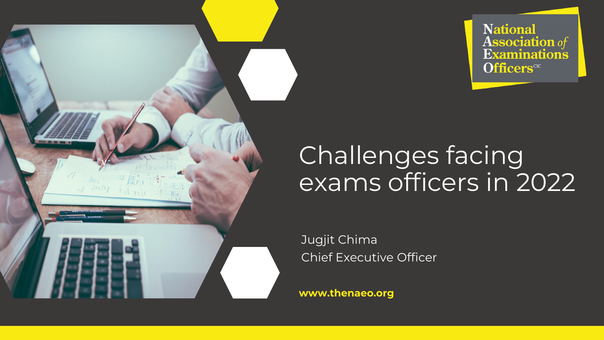

# **National<br>Association of<br>Examinations Officers**<sup>CIC</sup>

# Challenges facing exams officers in 2022

Jugjit Chima Chief Executive Officer

**www.thenaeo.org**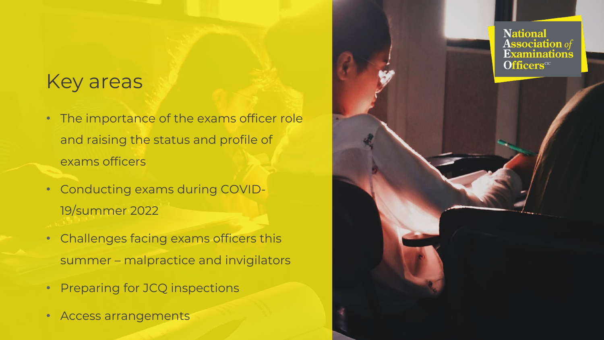### Key areas

• The importance of the exams officer role and raising the status and profile of exams officers

**National** 

**Officers**<sup>CIC</sup>

**Association** of Examinations

- Conducting exams during COVID-19/summer 2022
- Challenges facing exams officers this summer – malpractice and invigilators
- Preparing for JCQ inspections
- Access arrangements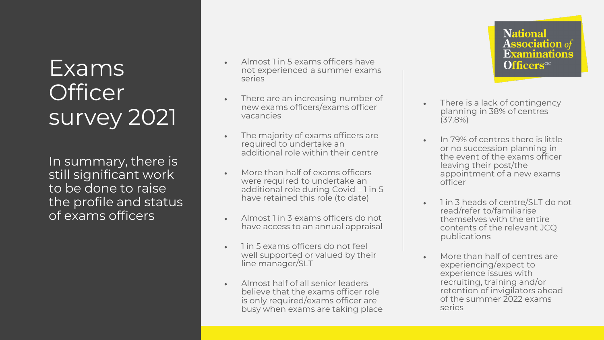## Exams **Officer** survey 2021

In summary, there is still significant work to be done to raise the profile and status of exams officers

- Almost 1 in 5 exams officers have not experienced a summer exams series
- There are an increasing number of new exams officers/exams officer vacancies
- The majority of exams officers are required to undertake an additional role within their centre
- More than half of exams officers were required to undertake an additional role during Covid – 1 in 5 have retained this role (to date)
- Almost 1 in 3 exams officers do not have access to an annual appraisal
- 1 in 5 exams officers do not feel well supported or valued by their line manager/SLT
- Almost half of all senior leaders believe that the exams officer role is only required/exams officer are busy when exams are taking place

**National Association** of **Examinations Officers**<sup>CIC</sup>

- There is a lack of contingency planning in 38% of centres (37.8%)
- In 79% of centres there is little or no succession planning in the event of the exams officer leaving their post/the appointment of a new exams officer
- 1 in 3 heads of centre/SLT do not read/refer to/familiarise themselves with the entire contents of the relevant JCQ publications
- More than half of centres are experiencing/expect to experience issues with recruiting, training and/or retention of invigilators ahead of the summer 2022 exams series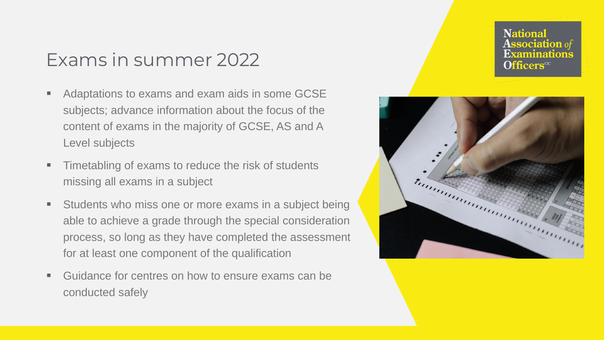#### Exams in summer 2022

- Adaptations to exams and exam aids in some GCSE subjects; advance information about the focus of the content of exams in the majority of GCSE, AS and A Level subjects
- Timetabling of exams to reduce the risk of students missing all exams in a subject
- Students who miss one or more exams in a subject being able to achieve a grade through the special consideration process, so long as they have completed the assessment for at least one component of the qualification
- Guidance for centres on how to ensure exams can be conducted safely

**National Association** of **Officers**<sup>CIC</sup>

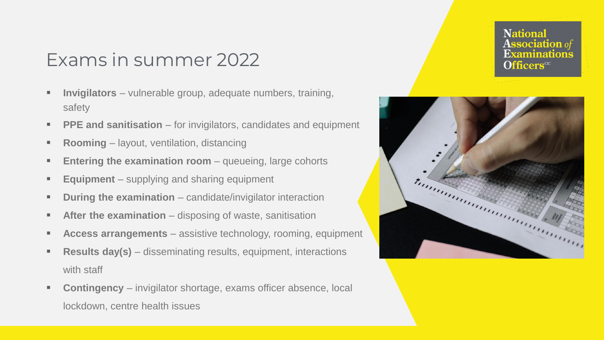### Exams in summer 2022

- **Invigilators** vulnerable group, adequate numbers, training, safety
- **PPE and sanitisation** for invigilators, candidates and equipment
- **Rooming** layout, ventilation, distancing
- **Entering the examination room** queueing, large cohorts
- **Equipment** supplying and sharing equipment
- **During the examination** candidate/invigilator interaction
- **After the examination** disposing of waste, sanitisation
- **Access arrangements** assistive technology, rooming, equipment
- **Results day(s)** disseminating results, equipment, interactions with staff
- **Contingency** invigilator shortage, exams officer absence, local lockdown, centre health issues



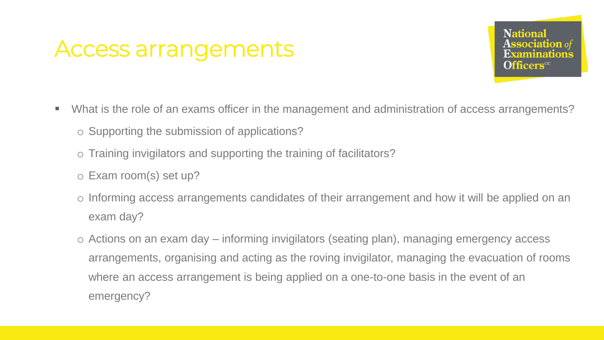## Access arrangements

**National Association** of Officers<sup>cic</sup>

- What is the role of an exams officer in the management and administration of access arrangements?
	- o Supporting the submission of applications?
	- o Training invigilators and supporting the training of facilitators?
	- o Exam room(s) set up?
	- o Informing access arrangements candidates of their arrangement and how it will be applied on an exam day?
	- o Actions on an exam day informing invigilators (seating plan), managing emergency access arrangements, organising and acting as the roving invigilator, managing the evacuation of rooms where an access arrangement is being applied on a one-to-one basis in the event of an emergency?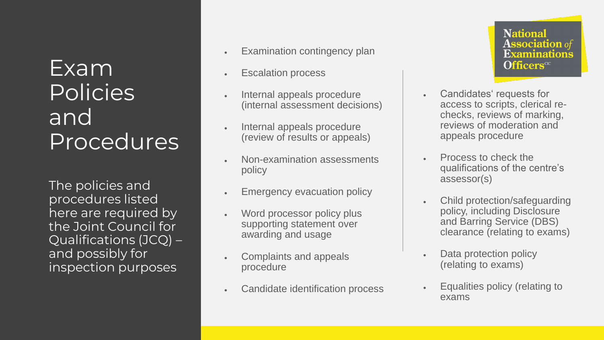## Exam Policies and Procedures

The policies and procedures listed here are required by the Joint Council for Qualifications (JCQ) – and possibly for inspection purposes

- Examination contingency plan
- **Escalation process**
- Internal appeals procedure (internal assessment decisions)
- Internal appeals procedure (review of results or appeals)
- Non -examination assessments policy
- Emergency evacuation policy
- Word processor policy plus supporting statement over awarding and usage
- Complaints and appeals procedure
- Candidate identification process

**National Association** of **Examinations Officers**<sup>CIC</sup>

- Candidates' requests for access to scripts, clerical re checks, reviews of marking, reviews of moderation and appeals procedure
- Process to check the qualifications of the centre's assessor(s)
- Child protection/safeguarding policy, including Disclosure and Barring Service (DBS) clearance (relating to exams)
- Data protection policy (relating to exams)
- Equalities policy (relating to exams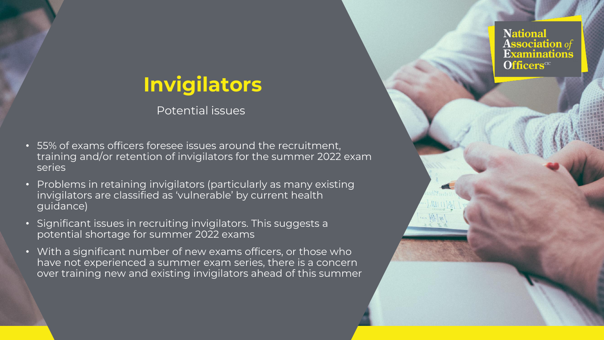### **Invigilators**

Potential issues

- 55% of exams officers foresee issues around the recruitment, training and/or retention of invigilators for the summer 2022 exam series
- Problems in retaining invigilators (particularly as many existing invigilators are classified as 'vulnerable' by current health guidance)
- Significant issues in recruiting invigilators. This suggests a potential shortage for summer 2022 exams
- With a significant number of new exams officers, or those who have not experienced a summer exam series, there is a concern over training new and existing invigilators ahead of this summer

**National Association** of **Examinations Officers**<sup>CIC</sup>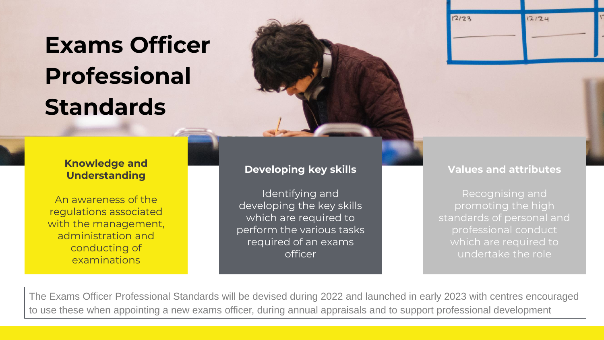# **Exams Officer Professional Standards**



#### **Knowledge and Understanding**

An awareness of the regulations associated with the management, administration and conducting of examinations

#### **Developing key skills**

Identifying and developing the key skills which are required to perform the various tasks required of an exams officer

#### **Values and attributes**

Recognising and promoting the high standards of personal and professional conduct which are required to undertake the role

The Exams Officer Professional Standards will be devised during 2022 and launched in early 2023 with centres encouraged to use these when appointing a new exams officer, during annual appraisals and to support professional development